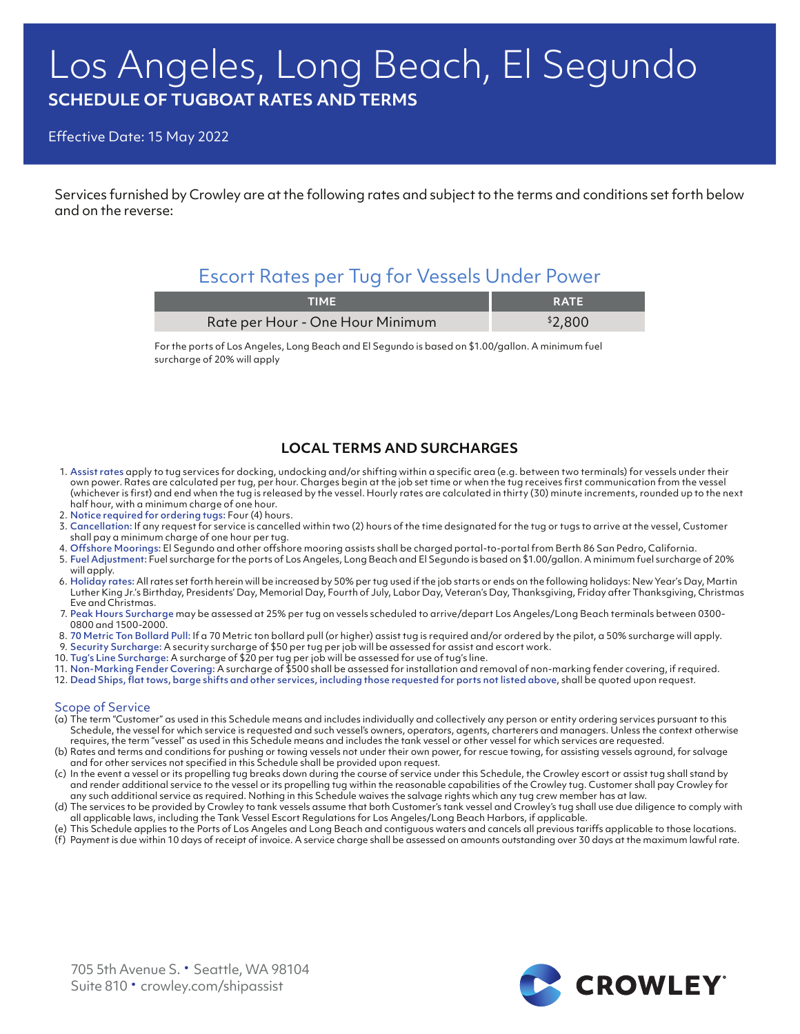# Los Angeles, Long Beach, El Segundo **SCHEDULE OF TUGBOAT RATES AND TERMS**

Effective Date: 15 May 2022

Services furnished by Crowley are at the following rates and subject to the terms and conditions set forth below and on the reverse:

# Escort Rates per Tug for Vessels Under Power

| TIME                             | <b>RATE</b> |
|----------------------------------|-------------|
| Rate per Hour - One Hour Minimum | \$2,800     |

For the ports of Los Angeles, Long Beach and El Segundo is based on \$1.00/gallon. A minimum fuel surcharge of 20% will apply

## **LOCAL TERMS AND SURCHARGES**

- 1. Assist rates apply to tug services for docking, undocking and/or shifting within a specific area (e.g. between two terminals) for vessels under their own power. Rates are calculated per tug, per hour. Charges begin at the job set time or when the tug receives first communication from the vessel (whichever is first) and end when the tug is released by the vessel. Hourly rates are calculated in thirty (30) minute increments, rounded up to the next half hour, with a minimum charge of one hour.
- 2. Notice required for ordering tugs: Four (4) hours.
- 3. Cancellation: If any request for service is cancelled within two (2) hours of the time designated for the tug or tugs to arrive at the vessel, Customer shall pay a minimum charge of one hour per tug.
- 4. Offshore Moorings: El Segundo and other offshore mooring assists shall be charged portal-to-portal from Berth 86 San Pedro, California.
- 5. Fuel Adjustment: Fuel surcharge for the ports of Los Angeles, Long Beach and El Segundo is based on \$1.00/gallon. A minimum fuel surcharge of 20% will apply.
- 6. Holiday rates: All rates set forth herein will be increased by 50% per tug used if the job starts or ends on the following holidays: New Year's Day, Martin Luther King Jr.'s Birthday, Presidents' Day, Memorial Day, Fourth of July, Labor Day, Veteran's Day, Thanksgiving, Friday after Thanksgiving, Christmas Eve and Christmas.
- 7. Peak Hours Surcharge may be assessed at 25% per tug on vessels scheduled to arrive/depart Los Angeles/Long Beach terminals between 0300- 0800 and 1500-2000.
- 8. 70 Metric Ton Bollard Pull: If a 70 Metric ton bollard pull (or higher) assist tug is required and/or ordered by the pilot, a 50% surcharge will apply.
- 9. Security Surcharge: A security surcharge of \$50 per tug per job will be assessed for assist and escort work.
- 10. Tug's Line Surcharge: A surcharge of \$20 per tug per job will be assessed for use of tug's line.
- 11. Non-Marking Fender Covering: A surcharge of \$500 shall be assessed for installation and removal of non-marking fender covering, if required.
- 12. Dead Ships, flat tows, barge shifts and other services, including those requested for ports not listed above, shall be quoted upon request.

### Scope of Service

- (a) The term "Customer" as used in this Schedule means and includes individually and collectively any person or entity ordering services pursuant to this Schedule, the vessel for which service is requested and such vessel's owners, operators, agents, charterers and managers. Unless the context otherwise requires, the term "vessel" as used in this Schedule means and includes the tank vessel or other vessel for which services are requested.
- (b) Rates and terms and conditions for pushing or towing vessels not under their own power, for rescue towing, for assisting vessels aground, for salvage and for other services not specified in this Schedule shall be provided upon request.
- (c) In the event a vessel or its propelling tug breaks down during the course of service under this Schedule, the Crowley escort or assist tug shall stand by and render additional service to the vessel or its propelling tug within the reasonable capabilities of the Crowley tug. Customer shall pay Crowley for any such additional service as required. Nothing in this Schedule waives the salvage rights which any tug crew member has at law.
- (d) The services to be provided by Crowley to tank vessels assume that both Customer's tank vessel and Crowley's tug shall use due diligence to comply with all applicable laws, including the Tank Vessel Escort Regulations for Los Angeles/Long Beach Harbors, if applicable.
- (e) This Schedule applies to the Ports of Los Angeles and Long Beach and contiguous waters and cancels all previous tariffs applicable to those locations. (f) Payment is due within 10 days of receipt of invoice. A service charge shall be assessed on amounts outstanding over 30 days at the maximum lawful rate.

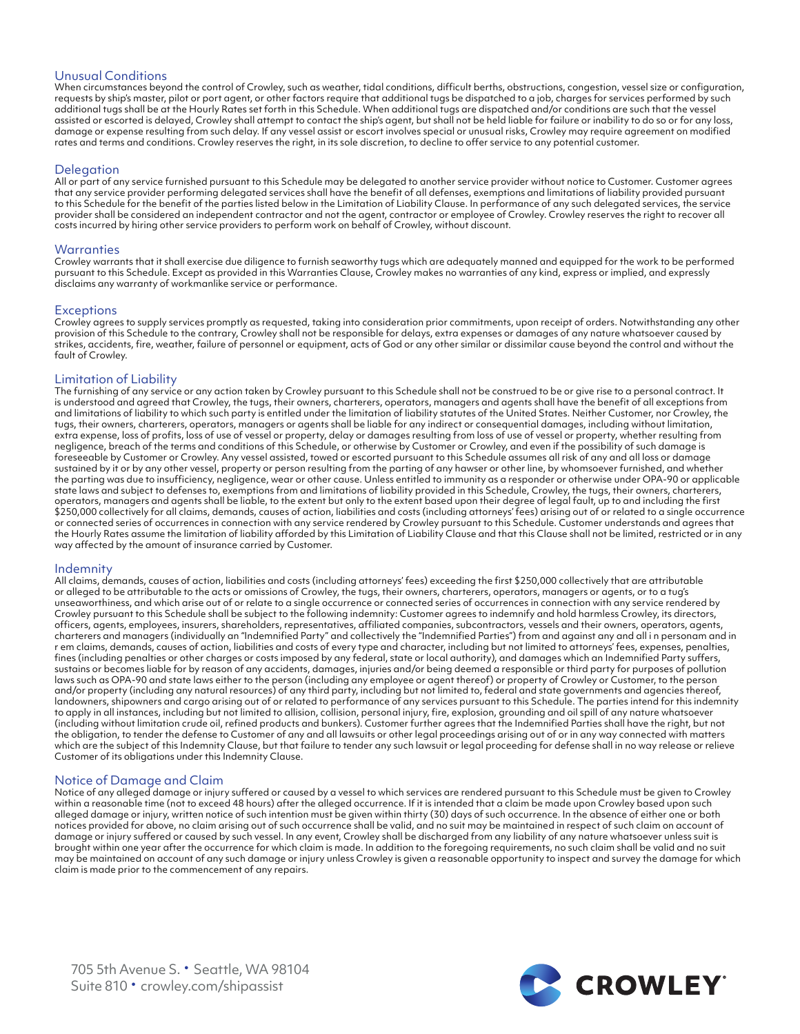### Unusual Conditions

When circumstances beyond the control of Crowley, such as weather, tidal conditions, difficult berths, obstructions, congestion, vessel size or configuration, requests by ship's master, pilot or port agent, or other factors require that additional tugs be dispatched to a job, charges for services performed by such additional tugs shall be at the Hourly Rates set forth in this Schedule. When additional tugs are dispatched and/or conditions are such that the vessel assisted or escorted is delayed, Crowley shall attempt to contact the ship's agent, but shall not be held liable for failure or inability to do so or for any loss, damage or expense resulting from such delay. If any vessel assist or escort involves special or unusual risks, Crowley may require agreement on modified rates and terms and conditions. Crowley reserves the right, in its sole discretion, to decline to offer service to any potential customer.

#### Delegation

All or part of any service furnished pursuant to this Schedule may be delegated to another service provider without notice to Customer. Customer agrees that any service provider performing delegated services shall have the benefit of all defenses, exemptions and limitations of liability provided pursuant to this Schedule for the benefit of the parties listed below in the Limitation of Liability Clause. In performance of any such delegated services, the service provider shall be considered an independent contractor and not the agent, contractor or employee of Crowley. Crowley reserves the right to recover all costs incurred by hiring other service providers to perform work on behalf of Crowley, without discount.

#### **Warranties**

Crowley warrants that it shall exercise due diligence to furnish seaworthy tugs which are adequately manned and equipped for the work to be performed pursuant to this Schedule. Except as provided in this Warranties Clause, Crowley makes no warranties of any kind, express or implied, and expressly disclaims any warranty of workmanlike service or performance.

#### **Exceptions**

Crowley agrees to supply services promptly as requested, taking into consideration prior commitments, upon receipt of orders. Notwithstanding any other provision of this Schedule to the contrary, Crowley shall not be responsible for delays, extra expenses or damages of any nature whatsoever caused by strikes, accidents, fire, weather, failure of personnel or equipment, acts of God or any other similar or dissimilar cause beyond the control and without the fault of Crowley.

#### Limitation of Liability

The furnishing of any service or any action taken by Crowley pursuant to this Schedule shall not be construed to be or give rise to a personal contract. It is understood and agreed that Crowley, the tugs, their owners, charterers, operators, managers and agents shall have the benefit of all exceptions from and limitations of liability to which such party is entitled under the limitation of liability statutes of the United States. Neither Customer, nor Crowley, the tugs, their owners, charterers, operators, managers or agents shall be liable for any indirect or consequential damages, including without limitation, extra expense, loss of profits, loss of use of vessel or property, delay or damages resulting from loss of use of vessel or property, whether resulting from negligence, breach of the terms and conditions of this Schedule, or otherwise by Customer or Crowley, and even if the possibility of such damage is foreseeable by Customer or Crowley. Any vessel assisted, towed or escorted pursuant to this Schedule assumes all risk of any and all loss or damage sustained by it or by any other vessel, property or person resulting from the parting of any hawser or other line, by whomsoever furnished, and whether the parting was due to insufficiency, negligence, wear or other cause. Unless entitled to immunity as a responder or otherwise under OPA-90 or applicable state laws and subject to defenses to, exemptions from and limitations of liability provided in this Schedule, Crowley, the tugs, their owners, charterers, operators, managers and agents shall be liable, to the extent but only to the extent based upon their degree of legal fault, up to and including the first \$250,000 collectively for all claims, demands, causes of action, liabilities and costs (including attorneys' fees) arising out of or related to a single occurrence or connected series of occurrences in connection with any service rendered by Crowley pursuant to this Schedule. Customer understands and agrees that the Hourly Rates assume the limitation of liability afforded by this Limitation of Liability Clause and that this Clause shall not be limited, restricted or in any way affected by the amount of insurance carried by Customer.

#### Indemnity

All claims, demands, causes of action, liabilities and costs (including attorneys' fees) exceeding the first \$250,000 collectively that are attributable or alleged to be attributable to the acts or omissions of Crowley, the tugs, their owners, charterers, operators, managers or agents, or to a tug's unseaworthiness, and which arise out of or relate to a single occurrence or connected series of occurrences in connection with any service rendered by Crowley pursuant to this Schedule shall be subject to the following indemnity: Customer agrees to indemnify and hold harmless Crowley, its directors, officers, agents, employees, insurers, shareholders, representatives, affiliated companies, subcontractors, vessels and their owners, operators, agents, charterers and managers (individually an "Indemnified Party" and collectively the "Indemnified Parties") from and against any and all i n personam and in r em claims, demands, causes of action, liabilities and costs of every type and character, including but not limited to attorneys' fees, expenses, penalties, fines (including penalties or other charges or costs imposed by any federal, state or local authority), and damages which an Indemnified Party suffers, sustains or becomes liable for by reason of any accidents, damages, injuries and/or being deemed a responsible or third party for purposes of pollution laws such as OPA-90 and state laws either to the person (including any employee or agent thereof) or property of Crowley or Customer, to the person and/or property (including any natural resources) of any third party, including but not limited to, federal and state governments and agencies thereof, landowners, shipowners and cargo arising out of or related to performance of any services pursuant to this Schedule. The parties intend for this indemnity to apply in all instances, including but not limited to allision, collision, personal injury, fire, explosion, grounding and oil spill of any nature whatsoever (including without limitation crude oil, refined products and bunkers). Customer further agrees that the Indemnified Parties shall have the right, but not the obligation, to tender the defense to Customer of any and all lawsuits or other legal proceedings arising out of or in any way connected with matters which are the subject of this Indemnity Clause, but that failure to tender any such lawsuit or legal proceeding for defense shall in no way release or relieve Customer of its obligations under this Indemnity Clause.

#### Notice of Damage and Claim

Notice of any alleged damage or injury suffered or caused by a vessel to which services are rendered pursuant to this Schedule must be given to Crowley within a reasonable time (not to exceed 48 hours) after the alleged occurrence. If it is intended that a claim be made upon Crowley based upon such alleged damage or injury, written notice of such intention must be given within thirty (30) days of such occurrence. In the absence of either one or both notices provided for above, no claim arising out of such occurrence shall be valid, and no suit may be maintained in respect of such claim on account of damage or injury suffered or caused by such vessel. In any event, Crowley shall be discharged from any liability of any nature whatsoever unless suit is brought within one year after the occurrence for which claim is made. In addition to the foregoing requirements, no such claim shall be valid and no suit may be maintained on account of any such damage or injury unless Crowley is given a reasonable opportunity to inspect and survey the damage for which claim is made prior to the commencement of any repairs.